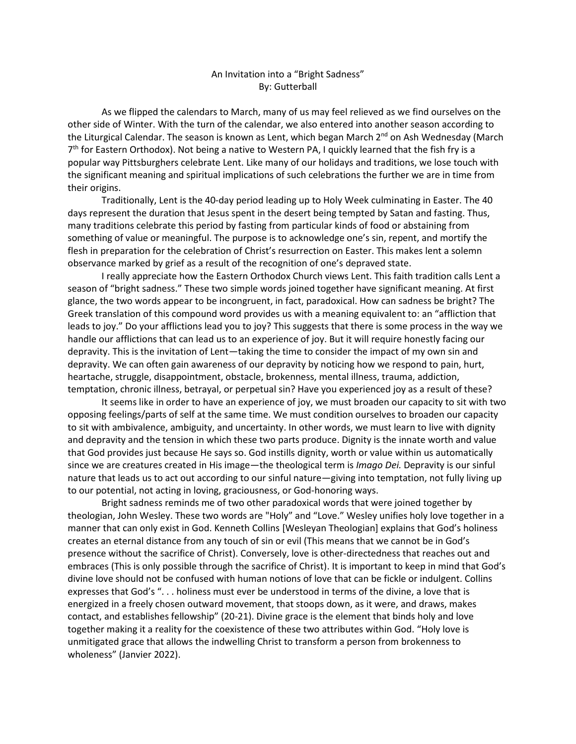## An Invitation into a "Bright Sadness" By: Gutterball

As we flipped the calendars to March, many of us may feel relieved as we find ourselves on the other side of Winter. With the turn of the calendar, we also entered into another season according to the Liturgical Calendar. The season is known as Lent, which began March  $2<sup>nd</sup>$  on Ash Wednesday (March 7<sup>th</sup> for Eastern Orthodox). Not being a native to Western PA, I quickly learned that the fish fry is a popular way Pittsburghers celebrate Lent. Like many of our holidays and traditions, we lose touch with the significant meaning and spiritual implications of such celebrations the further we are in time from their origins.

Traditionally, Lent is the 40-day period leading up to Holy Week culminating in Easter. The 40 days represent the duration that Jesus spent in the desert being tempted by Satan and fasting. Thus, many traditions celebrate this period by fasting from particular kinds of food or abstaining from something of value or meaningful. The purpose is to acknowledge one's sin, repent, and mortify the flesh in preparation for the celebration of Christ's resurrection on Easter. This makes lent a solemn observance marked by grief as a result of the recognition of one's depraved state.

I really appreciate how the Eastern Orthodox Church views Lent. This faith tradition calls Lent a season of "bright sadness." These two simple words joined together have significant meaning. At first glance, the two words appear to be incongruent, in fact, paradoxical. How can sadness be bright? The Greek translation of this compound word provides us with a meaning equivalent to: an "affliction that leads to joy." Do your afflictions lead you to joy? This suggests that there is some process in the way we handle our afflictions that can lead us to an experience of joy. But it will require honestly facing our depravity. This is the invitation of Lent—taking the time to consider the impact of my own sin and depravity. We can often gain awareness of our depravity by noticing how we respond to pain, hurt, heartache, struggle, disappointment, obstacle, brokenness, mental illness, trauma, addiction, temptation, chronic illness, betrayal, or perpetual sin? Have you experienced joy as a result of these?

It seems like in order to have an experience of joy, we must broaden our capacity to sit with two opposing feelings/parts of self at the same time. We must condition ourselves to broaden our capacity to sit with ambivalence, ambiguity, and uncertainty. In other words, we must learn to live with dignity and depravity and the tension in which these two parts produce. Dignity is the innate worth and value that God provides just because He says so. God instills dignity, worth or value within us automatically since we are creatures created in His image—the theological term is *Imago Dei.* Depravity is our sinful nature that leads us to act out according to our sinful nature—giving into temptation, not fully living up to our potential, not acting in loving, graciousness, or God-honoring ways.

Bright sadness reminds me of two other paradoxical words that were joined together by theologian, John Wesley. These two words are "Holy" and "Love." Wesley unifies holy love together in a manner that can only exist in God. Kenneth Collins [Wesleyan Theologian] explains that God's holiness creates an eternal distance from any touch of sin or evil (This means that we cannot be in God's presence without the sacrifice of Christ). Conversely, love is other-directedness that reaches out and embraces (This is only possible through the sacrifice of Christ). It is important to keep in mind that God's divine love should not be confused with human notions of love that can be fickle or indulgent. Collins expresses that God's ". . . holiness must ever be understood in terms of the divine, a love that is energized in a freely chosen outward movement, that stoops down, as it were, and draws, makes contact, and establishes fellowship" (20-21). Divine grace is the element that binds holy and love together making it a reality for the coexistence of these two attributes within God. "Holy love is unmitigated grace that allows the indwelling Christ to transform a person from brokenness to wholeness" (Janvier 2022).